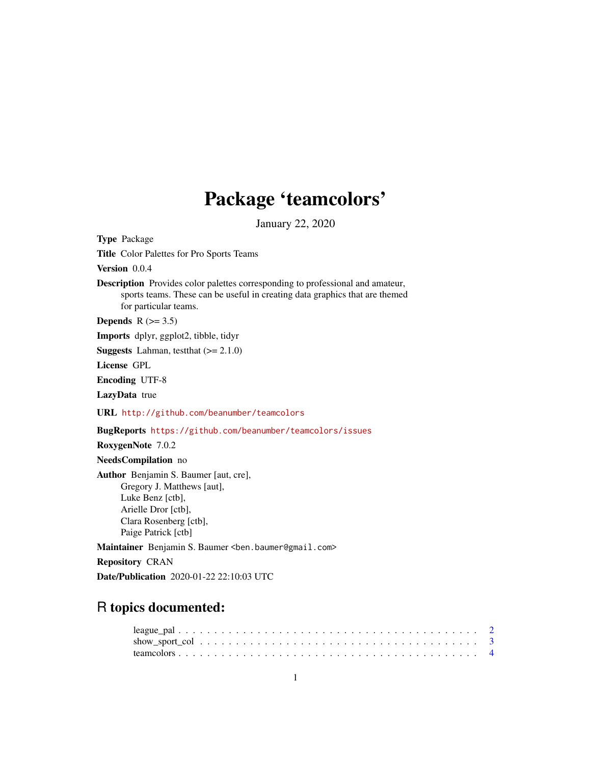# Package 'teamcolors'

January 22, 2020

<span id="page-0-0"></span>Type Package Title Color Palettes for Pro Sports Teams Version 0.0.4 Description Provides color palettes corresponding to professional and amateur, sports teams. These can be useful in creating data graphics that are themed for particular teams. Depends  $R$  ( $>= 3.5$ ) Imports dplyr, ggplot2, tibble, tidyr **Suggests** Lahman, test that  $(>= 2.1.0)$ License GPL Encoding UTF-8 LazyData true URL <http://github.com/beanumber/teamcolors> BugReports <https://github.com/beanumber/teamcolors/issues> RoxygenNote 7.0.2 NeedsCompilation no Author Benjamin S. Baumer [aut, cre], Gregory J. Matthews [aut], Luke Benz [ctb], Arielle Dror [ctb], Clara Rosenberg [ctb], Paige Patrick [ctb] Maintainer Benjamin S. Baumer <ben.baumer@gmail.com> Repository CRAN Date/Publication 2020-01-22 22:10:03 UTC

## R topics documented: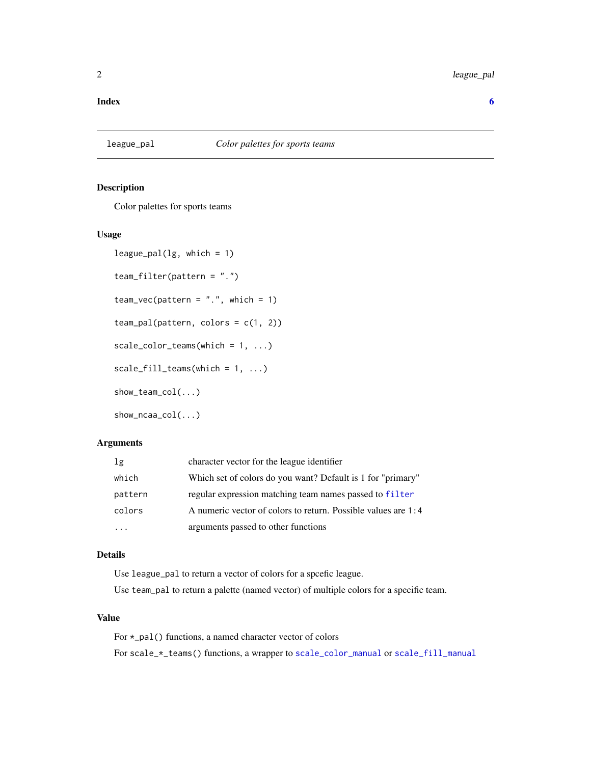#### <span id="page-1-0"></span>**Index** [6](#page-5-0) **6**

#### Description

Color palettes for sports teams

#### Usage

```
league\_pal(lg, which = 1)team_filter(pattern = ".")
team_vec(pattern = "."., which = 1)
team_pal(pattern, colors = c(1, 2))
scale\_color\_teams(which = 1, ...)scale_fill_teams(which = 1, ...)
show_team_col(...)
show_ncaa_col(...)
```
#### Arguments

| 1g      | character vector for the league identifier                    |
|---------|---------------------------------------------------------------|
| which   | Which set of colors do you want? Default is 1 for "primary"   |
| pattern | regular expression matching team names passed to filter       |
| colors  | A numeric vector of colors to return. Possible values are 1:4 |
|         | arguments passed to other functions                           |

#### Details

Use league\_pal to return a vector of colors for a spcefic league.

Use team\_pal to return a palette (named vector) of multiple colors for a specific team.

#### Value

For \*\_pal() functions, a named character vector of colors For scale\_\*\_teams() functions, a wrapper to [scale\\_color\\_manual](#page-0-0) or [scale\\_fill\\_manual](#page-0-0)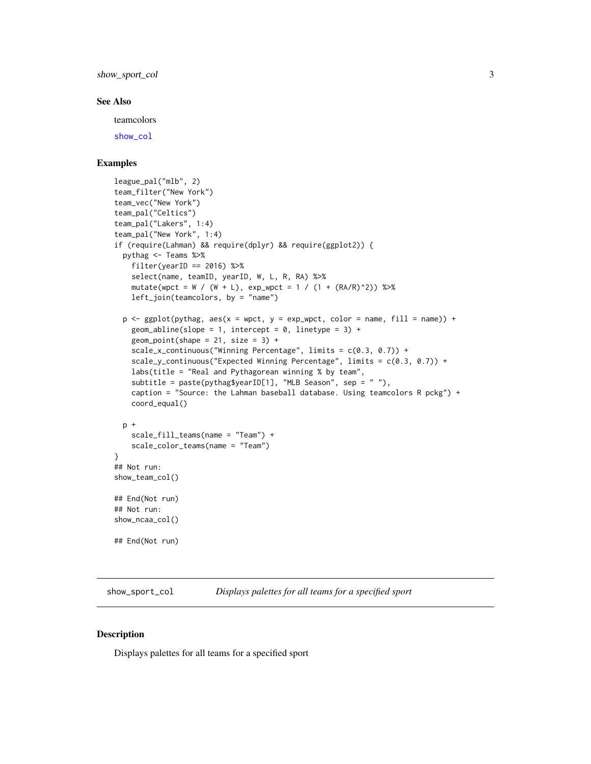<span id="page-2-0"></span>show\_sport\_col 3

#### See Also

teamcolors

[show\\_col](#page-0-0)

#### Examples

```
league_pal("mlb", 2)
team_filter("New York")
team_vec("New York")
team_pal("Celtics")
team_pal("Lakers", 1:4)
team_pal("New York", 1:4)
if (require(Lahman) && require(dplyr) && require(ggplot2)) {
 pythag <- Teams %>%
    filter(yearID == 2016) %select(name, teamID, yearID, W, L, R, RA) %>%
   mutate(wpct = W / (W + L), exp_wpct = 1 / (1 + (RA/R)^2)) %>%
   left_join(teamcolors, by = "name")
 p \leftarrow \text{ggplot(pythag, aes(x = wpct, y = exp_wpct, color = name, fill = name)) + }geom_abline(slope = 1, intercept = 0, linetype = 3) +
   geom_point(shape = 21, size = 3) +
    scale_x_continuous("Winning Percentage", limits = c(0.3, 0.7)) +
    scale_y_continuous("Expected Winning Percentage", limits = c(0.3, 0.7)) +
   labs(title = "Real and Pythagorean winning % by team",
    subtitle = paste(pythag$yearID[1], "MLB Season", sep = " "),
   caption = "Source: the Lahman baseball database. Using teamcolors R pckg") +
   coord_equal()
 p +
    scale_fill_teams(name = "Team") +
    scale_color_teams(name = "Team")
}
## Not run:
show_team_col()
## End(Not run)
## Not run:
show_ncaa_col()
## End(Not run)
```
show\_sport\_col *Displays palettes for all teams for a specified sport*

#### Description

Displays palettes for all teams for a specified sport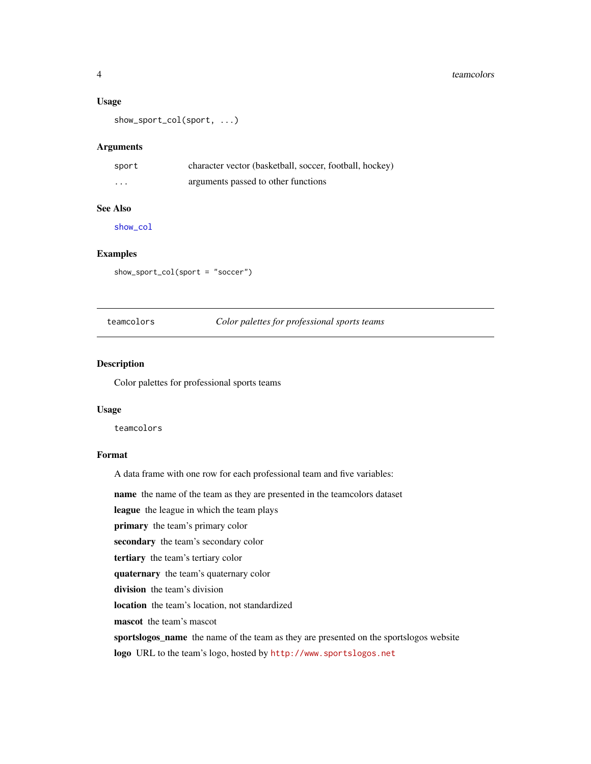#### <span id="page-3-0"></span>4 teamcolors and the contract of the contract of the contract of the contract of the contract of the contract of the contract of the contract of the contract of the contract of the contract of the contract of the contract

#### Usage

show\_sport\_col(sport, ...)

#### **Arguments**

| sport   | character vector (basketball, soccer, football, hockey) |
|---------|---------------------------------------------------------|
| $\cdot$ | arguments passed to other functions                     |

### See Also

[show\\_col](#page-0-0)

#### Examples

show\_sport\_col(sport = "soccer")

#### teamcolors *Color palettes for professional sports teams*

#### Description

Color palettes for professional sports teams

#### Usage

teamcolors

#### Format

A data frame with one row for each professional team and five variables:

name the name of the team as they are presented in the teamcolors dataset

league the league in which the team plays

primary the team's primary color

secondary the team's secondary color

tertiary the team's tertiary color

quaternary the team's quaternary color

division the team's division

location the team's location, not standardized

mascot the team's mascot

sportslogos\_name the name of the team as they are presented on the sportslogos website

logo URL to the team's logo, hosted by <http://www.sportslogos.net>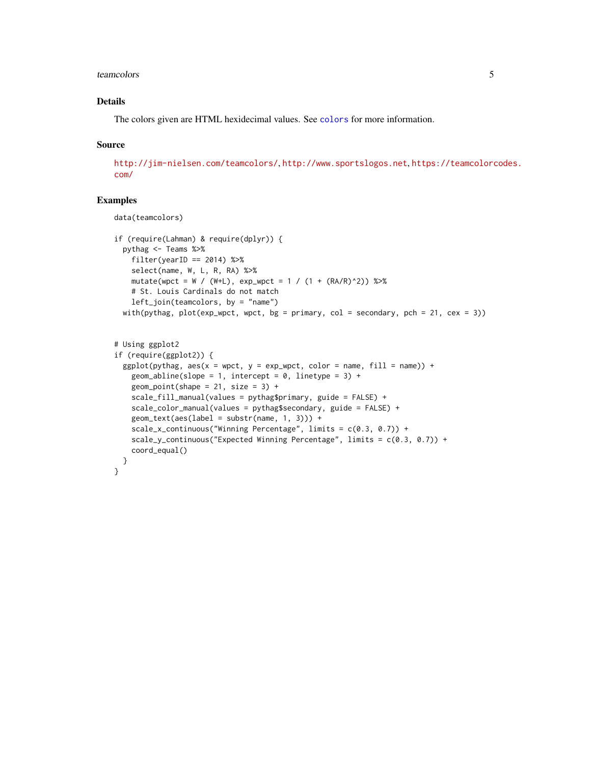#### <span id="page-4-0"></span>teamcolors 5

#### Details

The colors given are HTML hexidecimal values. See [colors](#page-0-0) for more information.

#### Source

<http://jim-nielsen.com/teamcolors/>, <http://www.sportslogos.net>, [https://teamcolorc](https://teamcolorcodes.com/)odes. [com/](https://teamcolorcodes.com/)

#### Examples

```
data(teamcolors)
if (require(Lahman) & require(dplyr)) {
  pythag <- Teams %>%
    filter(yearID == 2014) %>%
    select(name, W, L, R, RA) %>%
   mutate(wpct = W / (W+L), exp_wpct = 1 / (1 + (RA/R)^2)) %>%
    # St. Louis Cardinals do not match
    left_join(teamcolors, by = "name")
  with(pythag, plot(exp_wpct, wpct, bg = primary, col = secondary, pch = 21, cex = 3))
# Using ggplot2
if (require(ggplot2)) {
  ggplot(pythag, aes(x = wpct, y = exp_wpct, color = name, fill = name)) +geom_abline(slope = 1, intercept = 0, linetype = 3) +
    geom\_point(shape = 21, size = 3) +scale_fill_manual(values = pythag$primary, guide = FALSE) +
    scale_color_manual(values = pythag$secondary, guide = FALSE) +
    geom_text(aes(label = substr(name, 1, 3))) +
    scale_x_continuous("Winning Percentage", limits = c(0.3, 0.7)) +
    scale_y_continuous("Expected Winning Percentage", limits = c(0.3, 0.7)) +
    coord_equal()
  }
}
```